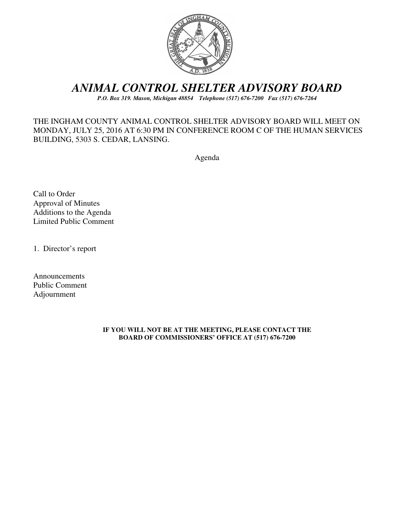

## *ANIMAL CONTROL SHELTER ADVISORY BOARD*

*P.O. Box 319. Mason, Michigan 48854 Telephone (517) 676-7200 Fax (517) 676-7264*

## THE INGHAM COUNTY ANIMAL CONTROL SHELTER ADVISORY BOARD WILL MEET ON MONDAY, JULY 25, 2016 AT 6:30 PM IN CONFERENCE ROOM C OF THE HUMAN SERVICES BUILDING, 5303 S. CEDAR, LANSING.

Agenda

Call to Order Approval of Minutes Additions to the Agenda Limited Public Comment

1. Director's report

Announcements Public Comment Adjournment

#### **IF YOU WILL NOT BE AT THE MEETING, PLEASE CONTACT THE BOARD OF COMMISSIONERS' OFFICE AT (517) 676-7200**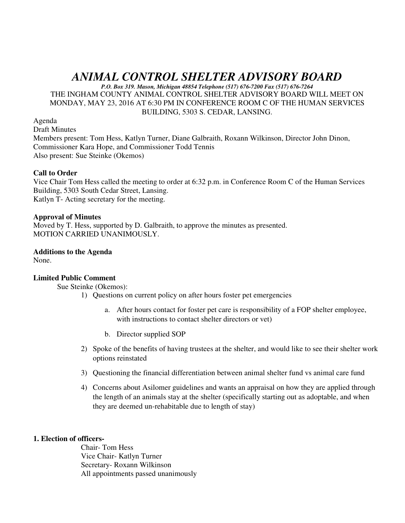# *ANIMAL CONTROL SHELTER ADVISORY BOARD*

*P.O. Box 319. Mason, Michigan 48854 Telephone (517) 676-7200 Fax (517) 676-7264* THE INGHAM COUNTY ANIMAL CONTROL SHELTER ADVISORY BOARD WILL MEET ON MONDAY, MAY 23, 2016 AT 6:30 PM IN CONFERENCE ROOM C OF THE HUMAN SERVICES BUILDING, 5303 S. CEDAR, LANSING.

Agenda

Draft Minutes Members present: Tom Hess, Katlyn Turner, Diane Galbraith, Roxann Wilkinson, Director John Dinon, Commissioner Kara Hope, and Commissioner Todd Tennis Also present: Sue Steinke (Okemos)

## **Call to Order**

Vice Chair Tom Hess called the meeting to order at 6:32 p.m. in Conference Room C of the Human Services Building, 5303 South Cedar Street, Lansing. Katlyn T- Acting secretary for the meeting.

#### **Approval of Minutes**

Moved by T. Hess, supported by D. Galbraith, to approve the minutes as presented. MOTION CARRIED UNANIMOUSLY.

## **Additions to the Agenda**

None.

## **Limited Public Comment**

Sue Steinke (Okemos):

- 1) Questions on current policy on after hours foster pet emergencies
	- a. After hours contact for foster pet care is responsibility of a FOP shelter employee, with instructions to contact shelter directors or vet)
	- b. Director supplied SOP
- 2) Spoke of the benefits of having trustees at the shelter, and would like to see their shelter work options reinstated
- 3) Questioning the financial differentiation between animal shelter fund vs animal care fund
- 4) Concerns about Asilomer guidelines and wants an appraisal on how they are applied through the length of an animals stay at the shelter (specifically starting out as adoptable, and when they are deemed un-rehabitable due to length of stay)

#### **1. Election of officers-**

Chair- Tom Hess Vice Chair- Katlyn Turner Secretary- Roxann Wilkinson All appointments passed unanimously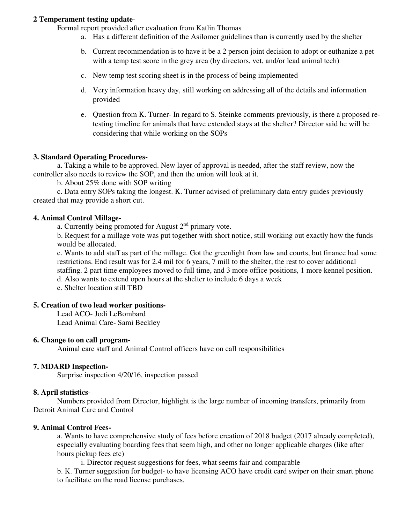#### **2 Temperament testing update**-

Formal report provided after evaluation from Katlin Thomas

- a. Has a different definition of the Asilomer guidelines than is currently used by the shelter
- b. Current recommendation is to have it be a 2 person joint decision to adopt or euthanize a pet with a temp test score in the grey area (by directors, vet, and/or lead animal tech)
- c. New temp test scoring sheet is in the process of being implemented
- d. Very information heavy day, still working on addressing all of the details and information provided
- e. Question from K. Turner- In regard to S. Steinke comments previously, is there a proposed retesting timeline for animals that have extended stays at the shelter? Director said he will be considering that while working on the SOPs

#### **3. Standard Operating Procedures-**

 a. Taking a while to be approved. New layer of approval is needed, after the staff review, now the controller also needs to review the SOP, and then the union will look at it.

b. About 25% done with SOP writing

 c. Data entry SOPs taking the longest. K. Turner advised of preliminary data entry guides previously created that may provide a short cut.

### **4. Animal Control Millage-**

a. Currently being promoted for August  $2<sup>nd</sup>$  primary vote.

b. Request for a millage vote was put together with short notice, still working out exactly how the funds would be allocated.

c. Wants to add staff as part of the millage. Got the greenlight from law and courts, but finance had some restrictions. End result was for 2.4 mil for 6 years, 7 mill to the shelter, the rest to cover additional staffing. 2 part time employees moved to full time, and 3 more office positions, 1 more kennel position. d. Also wants to extend open hours at the shelter to include 6 days a week

e. Shelter location still TBD

#### **5. Creation of two lead worker positions-**

 Lead ACO- Jodi LeBombard Lead Animal Care- Sami Beckley

#### **6. Change to on call program-**

Animal care staff and Animal Control officers have on call responsibilities

#### **7. MDARD Inspection-**

Surprise inspection 4/20/16, inspection passed

#### **8. April statistics**-

 Numbers provided from Director, highlight is the large number of incoming transfers, primarily from Detroit Animal Care and Control

#### **9. Animal Control Fees-**

a. Wants to have comprehensive study of fees before creation of 2018 budget (2017 already completed), especially evaluating boarding fees that seem high, and other no longer applicable charges (like after hours pickup fees etc)

i. Director request suggestions for fees, what seems fair and comparable

b. K. Turner suggestion for budget- to have licensing ACO have credit card swiper on their smart phone to facilitate on the road license purchases.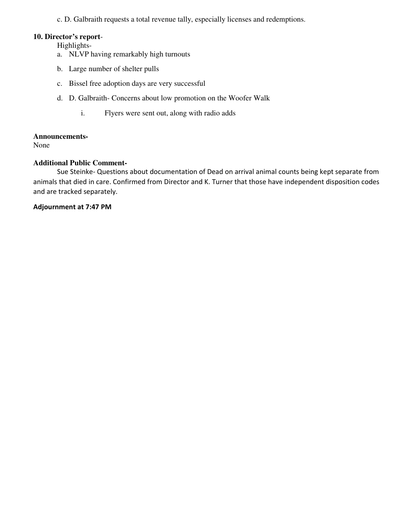c. D. Galbraith requests a total revenue tally, especially licenses and redemptions.

#### **10. Director's report**-

Highlights-

- a. NLVP having remarkably high turnouts
- b. Large number of shelter pulls
- c. Bissel free adoption days are very successful
- d. D. Galbraith- Concerns about low promotion on the Woofer Walk
	- i. Flyers were sent out, along with radio adds

## **Announcements-**

None

## **Additional Public Comment-**

 Sue Steinke- Questions about documentation of Dead on arrival animal counts being kept separate from animals that died in care. Confirmed from Director and K. Turner that those have independent disposition codes and are tracked separately.

**Adjournment at 7:47 PM**